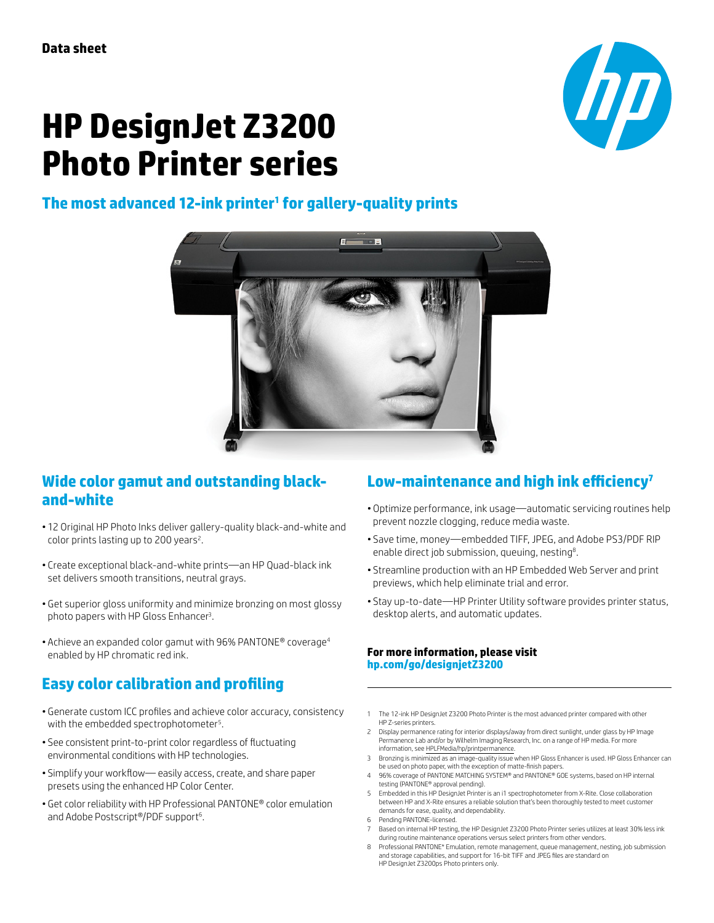# **ITP**

## **HP DesignJet Z3200 Photo Printer series**

### **The most advanced 12-ink printer1 for gallery-quality prints**



#### **Wide color gamut and outstanding blackand-white**

- 12 Original HP Photo Inks deliver gallery-quality black-and-white and color prints lasting up to 200 years<sup>2</sup>.
- Create exceptional black-and-white prints—an HP Quad-black ink set delivers smooth transitions, neutral grays.
- Get superior gloss uniformity and minimize bronzing on most glossy photo papers with HP Gloss Enhancer<sup>3</sup>.
- Achieve an expanded color gamut with 96% PANTONE® coverage4 enabled by HP chromatic red ink.

#### **Easy color calibration and profiling**

- Generate custom ICC profiles and achieve color accuracy, consistency with the embedded spectrophotometer<sup>5</sup>.
- See consistent print-to-print color regardless of fluctuating environmental conditions with HP technologies.
- Simplify your workflow— easily access, create, and share paper presets using the enhanced HP Color Center.
- Get color reliability with HP Professional PANTONE® color emulation and Adobe Postscript®/PDF support<sup>6</sup>.

#### **Low-maintenance and high ink efficiency<sup>7</sup>**

- Optimize performance, ink usage—automatic servicing routines help prevent nozzle clogging, reduce media waste.
- Save time, money—embedded TIFF, JPEG, and Adobe PS3/PDF RIP enable direct job submission, queuing, nesting $8$ .
- Streamline production with an HP Embedded Web Server and print previews, which help eliminate trial and error.
- Stay up-to-date—HP Printer Utility software provides printer status, desktop alerts, and automatic updates.

#### **For more information, please visit [hp.com/go/designjetZ](http://www.hp.com/go/designjetZ3200)3200**

- 1 The 12-ink HP DesignJet Z3200 Photo Printer is the most advanced printer compared with other HP Z-series printers.
- 2 Display permanence rating for interior displays/away from direct sunlight, under glass by HP Image Permanence Lab and/or by Wilhelm Imaging Research, Inc. on a range of HP media. For more information, see [HPLFMedia/hp/printpermanence.](http://www.globalbmg.com/hp/en/printpermanence)
- 3 Bronzing is minimized as an image-quality issue when HP Gloss Enhancer is used. HP Gloss Enhancer can be used on photo paper, with the exception of matte-finish papers.
- 4 96% coverage of PANTONE MATCHING SYSTEM® and PANTONE® GOE systems, based on HP internal testing (PANTONE® approval pending).
- 5 Embedded in this HP DesignJet Printer is an i1 spectrophotometer from X-Rite. Close collaboration between HP and X-Rite ensures a reliable solution that's been thoroughly tested to meet customer demands for ease, quality, and dependability.
- 6 Pending PANTONE-licensed.
- Based on internal HP testing, the HP DesignJet Z3200 Photo Printer series utilizes at least 30% less ink during routine maintenance operations versus select printers from other vendors.
- 8 Professional PANTONE\* Emulation, remote management, queue management, nesting, job submission and storage capabilities, and support for 16-bit TIFF and JPEG files are standard on HP DesignJet Z3200ps Photo printers only.